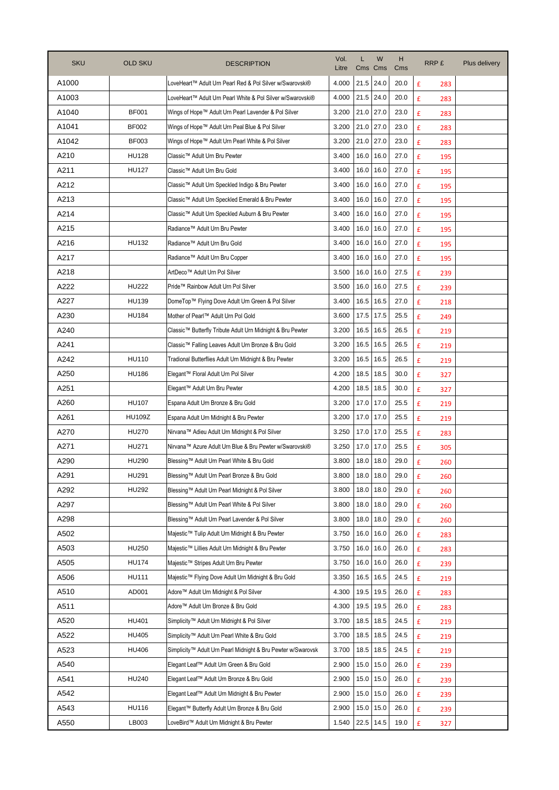| <b>SKU</b> | <b>OLD SKU</b> | <b>DESCRIPTION</b>                                           | Vol.<br>Litre | Cms         | W<br>Cms | н<br>Cms | RRP £    | Plus delivery |
|------------|----------------|--------------------------------------------------------------|---------------|-------------|----------|----------|----------|---------------|
| A1000      |                | LoveHeart™ Adult Urn Pearl Red & Pol Silver w/Swarovski®     | 4.000         | 21.5        | 24.0     | 20.0     | £<br>283 |               |
| A1003      |                | LoveHeart™ Adult Urn Pearl White & Pol Silver w/Swarovski®   | 4.000         | 21.5        | 24.0     | 20.0     | £<br>283 |               |
| A1040      | <b>BF001</b>   | Wings of Hope™ Adult Urn Pearl Lavender & Pol Silver         | 3.200         | 21.0        | 27.0     | 23.0     | £<br>283 |               |
| A1041      | <b>BF002</b>   | Wings of Hope™ Adult Urn Peal Blue & Pol Silver              | 3.200         | 21.0        | 27.0     | 23.0     | £<br>283 |               |
| A1042      | <b>BF003</b>   | Wings of Hope™ Adult Urn Pearl White & Pol Silver            | 3.200         | 21.0        | 27.0     | 23.0     | £<br>283 |               |
| A210       | <b>HU128</b>   | Classic™ Adult Urn Bru Pewter                                | 3.400         | 16.0        | 16.0     | 27.0     | £<br>195 |               |
| A211       | <b>HU127</b>   | Classic™ Adult Urn Bru Gold                                  | 3.400         | 16.0        | 16.0     | 27.0     | £<br>195 |               |
| A212       |                | Classic™ Adult Urn Speckled Indigo & Bru Pewter              | 3.400         | 16.0        | 16.0     | 27.0     | £<br>195 |               |
| A213       |                | Classic™ Adult Urn Speckled Emerald & Bru Pewter             | 3.400         | 16.0        | 16.0     | 27.0     | £<br>195 |               |
| A214       |                | Classic™ Adult Urn Speckled Auburn & Bru Pewter              | 3.400         | 16.0        | 16.0     | 27.0     | £<br>195 |               |
| A215       |                | Radiance™ Adult Urn Bru Pewter                               | 3.400         | 16.0        | 16.0     | 27.0     | £<br>195 |               |
| A216       | <b>HU132</b>   | Radiance™ Adult Urn Bru Gold                                 | 3.400         | 16.0        | 16.0     | 27.0     | £<br>195 |               |
| A217       |                | Radiance™ Adult Urn Bru Copper                               | 3.400         | 16.0        | 16.0     | 27.0     | £<br>195 |               |
| A218       |                | ArtDeco™ Adult Urn Pol Silver                                | 3.500         | 16.0        | 16.0     | 27.5     | £<br>239 |               |
| A222       | <b>HU222</b>   | Pride™ Rainbow Adult Urn Pol Silver                          | 3.500         | 16.0        | 16.0     | 27.5     | £<br>239 |               |
| A227       | <b>HU139</b>   | DomeTop™ Flying Dove Adult Urn Green & Pol Silver            | 3.400         | 16.5        | 16.5     | 27.0     | £<br>218 |               |
| A230       | <b>HU184</b>   | Mother of Pearl™ Adult Urn Pol Gold                          | 3.600         | 17.5        | 17.5     | 25.5     | £<br>249 |               |
| A240       |                | Classic™ Butterfly Tribute Adult Urn Midnight & Bru Pewter   | 3.200         | 16.5        | 16.5     | 26.5     | £<br>219 |               |
| A241       |                | Classic™ Falling Leaves Adult Urn Bronze & Bru Gold          | 3.200         | 16.5        | 16.5     | 26.5     | £<br>219 |               |
| A242       | <b>HU110</b>   | Tradional Butterflies Adult Urn Midnight & Bru Pewter        | 3.200         | 16.5        | 16.5     | 26.5     | £<br>219 |               |
| A250       | <b>HU186</b>   | Elegant™ Floral Adult Urn Pol Silver                         | 4.200         | 18.5        | 18.5     | 30.0     | £<br>327 |               |
| A251       |                | Elegant™ Adult Urn Bru Pewter                                | 4.200         | 18.5        | 18.5     | 30.0     | £<br>327 |               |
| A260       | <b>HU107</b>   | Espana Adult Urn Bronze & Bru Gold                           | 3.200         | 17.0        | 17.0     | 25.5     | £<br>219 |               |
| A261       | <b>HU109Z</b>  | Espana Adult Urn Midnight & Bru Pewter                       | 3.200         | 17.0        | 17.0     | 25.5     | £<br>219 |               |
| A270       | <b>HU270</b>   | Nirvana™ Adieu Adult Urn Midnight & Pol Silver               | 3.250         | 17.0        | 17.0     | 25.5     | £<br>283 |               |
| A271       | HU271          | Nirvana™ Azure Adult Urn Blue & Bru Pewter w/Swarovski®      | 3.250         | 17.0        | 17.0     | 25.5     | £<br>305 |               |
| A290       | HU290          | Blessing™ Adult Urn Pearl White & Bru Gold                   | 3.800         | 18.0        | 18.0     | 29.0     | £<br>260 |               |
| A291       | <b>HU291</b>   | Blessing™ Adult Urn Pearl Bronze & Bru Gold                  | 3.800         | $18.0$ 18.0 |          | 29.0     | £<br>260 |               |
| A292       | <b>HU292</b>   | Blessing™ Adult Urn Pearl Midnight & Pol Silver              | 3.800         | 18.0        | 18.0     | 29.0     | £<br>260 |               |
| A297       |                | Blessing™ Adult Urn Pearl White & Pol Silver                 | 3.800         | 18.0        | 18.0     | 29.0     | £<br>260 |               |
| A298       |                | Blessing™ Adult Urn Pearl Lavender & Pol Silver              | 3.800         | 18.0        | 18.0     | 29.0     | £<br>260 |               |
| A502       |                | Majestic™ Tulip Adult Urn Midnight & Bru Pewter              | 3.750         | 16.0        | 16.0     | 26.0     | £<br>283 |               |
| A503       | HU250          | Majestic™ Lillies Adult Urn Midnight & Bru Pewter            | 3.750         | 16.0        | 16.0     | 26.0     | £<br>283 |               |
| A505       | <b>HU174</b>   | Majestic™ Stripes Adult Urn Bru Pewter                       | 3.750         | 16.0        | 16.0     | 26.0     | £<br>239 |               |
| A506       | <b>HU111</b>   | Majestic™ Flying Dove Adult Urn Midnight & Bru Gold          | 3.350         | 16.5        | 16.5     | 24.5     | £<br>219 |               |
| A510       | AD001          | Adore™ Adult Urn Midnight & Pol Silver                       | 4.300         | 19.5        | 19.5     | 26.0     | £<br>283 |               |
| A511       |                | Adore™ Adult Urn Bronze & Bru Gold                           | 4.300         | 19.5        | 19.5     | 26.0     | £<br>283 |               |
| A520       | HU401          | Simplicity™ Adult Urn Midnight & Pol Silver                  | 3.700         | 18.5        | 18.5     | 24.5     | £<br>219 |               |
| A522       | HU405          | Simplicity™ Adult Urn Pearl White & Bru Gold                 | 3.700         | 18.5        | 18.5     | 24.5     | £<br>219 |               |
| A523       | HU406          | Simplicity™ Adult Urn Pearl Midnight & Bru Pewter w/Swarovsk | 3.700         | 18.5        | 18.5     | 24.5     | £<br>219 |               |
| A540       |                | Elegant Leaf™ Adult Urn Green & Bru Gold                     | 2.900         | 15.0        | 15.0     | 26.0     | £<br>239 |               |
| A541       | HU240          | Elegant Leaf™ Adult Urn Bronze & Bru Gold                    | 2.900         | 15.0        | 15.0     | 26.0     | £<br>239 |               |
| A542       |                | Elegant Leaf™ Adult Urn Midnight & Bru Pewter                | 2.900         | 15.0        | 15.0     | 26.0     | £<br>239 |               |
| A543       | HU116          | Elegant™ Butterfly Adult Urn Bronze & Bru Gold               | 2.900         | 15.0        | 15.0     | 26.0     | £<br>239 |               |
| A550       | LB003          | LoveBird™ Adult Urn Midnight & Bru Pewter                    | 1.540         | 22.5        | 14.5     | 19.0     | £<br>327 |               |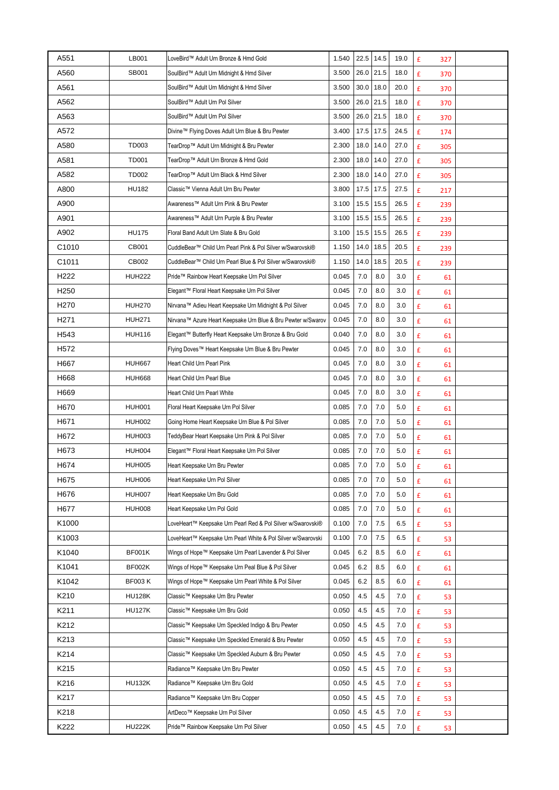| A551             | LB001         | LoveBird™ Adult Urn Bronze & Hmd Gold                        | 1.540 | 22.5 | 14.5 | 19.0 | £<br>327                 |  |
|------------------|---------------|--------------------------------------------------------------|-------|------|------|------|--------------------------|--|
| A560             | SB001         | SoulBird™ Adult Urn Midnight & Hmd Silver                    | 3.500 | 26.0 | 21.5 | 18.0 | £<br>370                 |  |
| A561             |               | SoulBird™ Adult Urn Midnight & Hmd Silver                    | 3.500 | 30.0 | 18.0 | 20.0 | £<br>370                 |  |
| A562             |               | SoulBird™ Adult Urn Pol Silver                               | 3.500 | 26.0 | 21.5 | 18.0 | £<br>370                 |  |
| A563             |               | SoulBird™ Adult Urn Pol Silver                               | 3.500 | 26.0 | 21.5 | 18.0 | £<br>370                 |  |
| A572             |               | Divine™ Flying Doves Adult Urn Blue & Bru Pewter             | 3.400 | 17.5 | 17.5 | 24.5 | £<br>174                 |  |
| A580             | TD003         | TearDrop™ Adult Urn Midnight & Bru Pewter                    | 2.300 | 18.0 | 14.0 | 27.0 | £<br>305                 |  |
| A581             | <b>TD001</b>  | TearDrop™ Adult Urn Bronze & Hmd Gold                        | 2.300 | 18.0 | 14.0 | 27.0 | £<br>305                 |  |
| A582             | <b>TD002</b>  | TearDrop™ Adult Urn Black & Hmd Silver                       | 2.300 | 18.0 | 14.0 | 27.0 | £<br>305                 |  |
| A800             | <b>HU182</b>  | Classic™ Vienna Adult Urn Bru Pewter                         | 3.800 | 17.5 | 17.5 | 27.5 | £<br>217                 |  |
| A900             |               | Awareness™ Adult Urn Pink & Bru Pewter                       | 3.100 | 15.5 | 15.5 | 26.5 | £<br>239                 |  |
| A901             |               | Awareness™ Adult Urn Purple & Bru Pewter                     | 3.100 | 15.5 | 15.5 | 26.5 | £<br>239                 |  |
| A902             | <b>HU175</b>  | Floral Band Adult Urn Slate & Bru Gold                       | 3.100 | 15.5 | 15.5 | 26.5 | £<br>239                 |  |
| C1010            | CB001         | CuddleBear™ Child Urn Pearl Pink & Pol Silver w/Swarovski®   | 1.150 | 14.0 | 18.5 | 20.5 | £<br>239                 |  |
| C1011            | CB002         | CuddleBear™ Child Urn Pearl Blue & Pol Silver w/Swarovski®   | 1.150 | 14.0 | 18.5 | 20.5 | £<br>239                 |  |
| H <sub>222</sub> | <b>HUH222</b> | Pride™ Rainbow Heart Keepsake Urn Pol Silver                 | 0.045 | 7.0  | 8.0  | 3.0  | £<br>61                  |  |
| H <sub>250</sub> |               | Elegant™ Floral Heart Keepsake Urn Pol Silver                | 0.045 | 7.0  | 8.0  | 3.0  | $\pmb{\mathsf{f}}$<br>61 |  |
| H270             | <b>HUH270</b> | Nirvana™ Adieu Heart Keepsake Urn Midnight & Pol Silver      | 0.045 | 7.0  | 8.0  | 3.0  | £<br>61                  |  |
| H <sub>271</sub> | <b>HUH271</b> | Nirvana™ Azure Heart Keepsake Urn Blue & Bru Pewter w/Swarov | 0.045 | 7.0  | 8.0  | 3.0  | £<br>61                  |  |
| H <sub>543</sub> | <b>HUH116</b> | Elegant™ Butterfly Heart Keepsake Urn Bronze & Bru Gold      | 0.040 | 7.0  | 8.0  | 3.0  | £<br>61                  |  |
| H <sub>572</sub> |               | Flying Doves™ Heart Keepsake Urn Blue & Bru Pewter           | 0.045 | 7.0  | 8.0  | 3.0  | £<br>61                  |  |
| H667             | <b>HUH667</b> | Heart Child Urn Pearl Pink                                   | 0.045 | 7.0  | 8.0  | 3.0  | £<br>61                  |  |
| H668             | <b>HUH668</b> | Heart Child Urn Pearl Blue                                   | 0.045 | 7.0  | 8.0  | 3.0  | £<br>61                  |  |
| H669             |               | Heart Child Urn Pearl White                                  | 0.045 | 7.0  | 8.0  | 3.0  | £<br>61                  |  |
| H670             | <b>HUH001</b> | Floral Heart Keepsake Urn Pol Silver                         | 0.085 | 7.0  | 7.0  | 5.0  | £<br>61                  |  |
| H671             | <b>HUH002</b> | Going Home Heart Keepsake Urn Blue & Pol Silver              | 0.085 | 7.0  | 7.0  | 5.0  | £<br>61                  |  |
| H672             | <b>HUH003</b> | TeddyBear Heart Keepsake Urn Pink & Pol Silver               | 0.085 | 7.0  | 7.0  | 5.0  | £<br>61                  |  |
| H673             | <b>HUH004</b> | Elegant™ Floral Heart Keepsake Urn Pol Silver                | 0.085 | 7.0  | 7.0  | 5.0  | £<br>61                  |  |
| H674             | <b>HUH005</b> | Heart Keepsake Urn Bru Pewter                                | 0.085 | 7.0  | 7.0  | 5.0  | £<br>61                  |  |
| H675             | <b>HUH006</b> | Heart Keepsake Urn Pol Silver                                | 0.085 | 7.0  | 7.0  | 5.0  | £<br>61                  |  |
| H676             | <b>HUH007</b> | Heart Keepsake Urn Bru Gold                                  | 0.085 | 7.0  | 7.0  | 5.0  | £<br>61                  |  |
| H677             | <b>HUH008</b> | Heart Keepsake Urn Pol Gold                                  | 0.085 | 7.0  | 7.0  | 5.0  | £<br>61                  |  |
| K1000            |               | LoveHeart™ Keepsake Urn Pearl Red & Pol Silver w/Swarovski®  | 0.100 | 7.0  | 7.5  | 6.5  | £<br>53                  |  |
| K1003            |               | LoveHeart™ Keepsake Urn Pearl White & Pol Silver w/Swarovski | 0.100 | 7.0  | 7.5  | 6.5  | £<br>53                  |  |
| K1040            | BF001K        | Wings of Hope™ Keepsake Urn Pearl Lavender & Pol Silver      | 0.045 | 6.2  | 8.5  | 6.0  | £<br>61                  |  |
| K1041            | BF002K        | Wings of Hope™ Keepsake Urn Peal Blue & Pol Silver           | 0.045 | 6.2  | 8.5  | 6.0  | £<br>61                  |  |
| K1042            | <b>BF003K</b> | Wings of Hope™ Keepsake Urn Pearl White & Pol Silver         | 0.045 | 6.2  | 8.5  | 6.0  | £<br>61                  |  |
| K210             | <b>HU128K</b> | Classic™ Keepsake Urn Bru Pewter                             | 0.050 | 4.5  | 4.5  | 7.0  | £<br>53                  |  |
| K211             | <b>HU127K</b> | Classic™ Keepsake Urn Bru Gold                               | 0.050 | 4.5  | 4.5  | 7.0  | £<br>53                  |  |
| K212             |               | Classic™ Keepsake Urn Speckled Indigo & Bru Pewter           | 0.050 | 4.5  | 4.5  | 7.0  | £<br>53                  |  |
| K213             |               | Classic™ Keepsake Urn Speckled Emerald & Bru Pewter          | 0.050 | 4.5  | 4.5  | 7.0  | £<br>53                  |  |
| K214             |               | Classic™ Keepsake Urn Speckled Auburn & Bru Pewter           | 0.050 | 4.5  | 4.5  | 7.0  | £<br>53                  |  |
| K215             |               | Radiance™ Keepsake Urn Bru Pewter                            | 0.050 | 4.5  | 4.5  | 7.0  | £<br>53                  |  |
| K216             | <b>HU132K</b> | Radiance™ Keepsake Urn Bru Gold                              | 0.050 | 4.5  | 4.5  | 7.0  | $\pmb{\mathsf{f}}$<br>53 |  |
| K217             |               | Radiance™ Keepsake Urn Bru Copper                            | 0.050 | 4.5  | 4.5  | 7.0  | £<br>53                  |  |
| K218             |               | ArtDeco™ Keepsake Urn Pol Silver                             | 0.050 | 4.5  | 4.5  | 7.0  | £<br>53                  |  |
| K222             | <b>HU222K</b> | Pride™ Rainbow Keepsake Urn Pol Silver                       | 0.050 | 4.5  | 4.5  | 7.0  | $\pmb{\mathtt{f}}$<br>53 |  |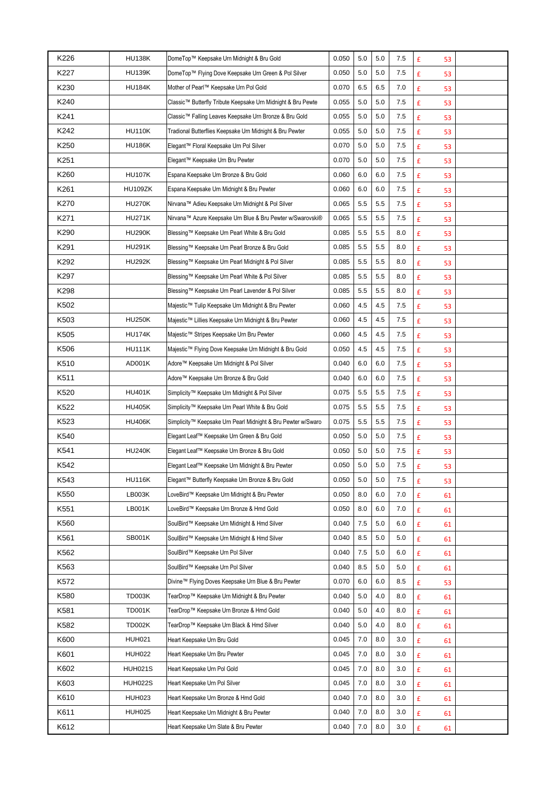| K226             | <b>HU138K</b>  | DomeTop™ Keepsake Urn Midnight & Bru Gold                    | 0.050 | 5.0 | 5.0 | 7.5 | £<br>53                  |  |
|------------------|----------------|--------------------------------------------------------------|-------|-----|-----|-----|--------------------------|--|
| K227             | <b>HU139K</b>  | DomeTop™ Flying Dove Keepsake Urn Green & Pol Silver         | 0.050 | 5.0 | 5.0 | 7.5 | £<br>53                  |  |
| K230             | <b>HU184K</b>  | Mother of Pearl™ Keepsake Urn Pol Gold                       | 0.070 | 6.5 | 6.5 | 7.0 | £<br>53                  |  |
| K240             |                | Classic™ Butterfly Tribute Keepsake Urn Midnight & Bru Pewte | 0.055 | 5.0 | 5.0 | 7.5 | £<br>53                  |  |
| K241             |                | Classic™ Falling Leaves Keepsake Urn Bronze & Bru Gold       | 0.055 | 5.0 | 5.0 | 7.5 | £<br>53                  |  |
| K242             | <b>HU110K</b>  | Tradional Butterflies Keepsake Urn Midnight & Bru Pewter     | 0.055 | 5.0 | 5.0 | 7.5 | £<br>53                  |  |
| K250             | <b>HU186K</b>  | Elegant™ Floral Keepsake Urn Pol Silver                      | 0.070 | 5.0 | 5.0 | 7.5 | £<br>53                  |  |
| K251             |                | Elegant™ Keepsake Urn Bru Pewter                             | 0.070 | 5.0 | 5.0 | 7.5 | £<br>53                  |  |
| K260             | <b>HU107K</b>  | Espana Keepsake Urn Bronze & Bru Gold                        | 0.060 | 6.0 | 6.0 | 7.5 | £<br>53                  |  |
| K261             | HU109ZK        | Espana Keepsake Urn Midnight & Bru Pewter                    | 0.060 | 6.0 | 6.0 | 7.5 | £<br>53                  |  |
| K270             | <b>HU270K</b>  | Nirvana™ Adieu Keepsake Urn Midnight & Pol Silver            | 0.065 | 5.5 | 5.5 | 7.5 | £<br>53                  |  |
| K271             | <b>HU271K</b>  | Nirvana™ Azure Keepsake Urn Blue & Bru Pewter w/Swarovski®   | 0.065 | 5.5 | 5.5 | 7.5 | £<br>53                  |  |
| K290             | <b>HU290K</b>  | Blessing™ Keepsake Urn Pearl White & Bru Gold                | 0.085 | 5.5 | 5.5 | 8.0 | £<br>53                  |  |
| K291             | <b>HU291K</b>  | Blessing™ Keepsake Urn Pearl Bronze & Bru Gold               | 0.085 | 5.5 | 5.5 | 8.0 | £<br>53                  |  |
| K292             | <b>HU292K</b>  | Blessing™ Keepsake Urn Pearl Midnight & Pol Silver           | 0.085 | 5.5 | 5.5 | 8.0 | £<br>53                  |  |
| K297             |                | Blessing™ Keepsake Urn Pearl White & Pol Silver              | 0.085 | 5.5 | 5.5 | 8.0 | £<br>53                  |  |
| K298             |                | Blessing™ Keepsake Urn Pearl Lavender & Pol Silver           | 0.085 | 5.5 | 5.5 | 8.0 | £<br>53                  |  |
| K502             |                | Majestic™ Tulip Keepsake Urn Midnight & Bru Pewter           | 0.060 | 4.5 | 4.5 | 7.5 | £<br>53                  |  |
| K <sub>503</sub> | <b>HU250K</b>  | Majestic™ Lillies Keepsake Urn Midnight & Bru Pewter         | 0.060 | 4.5 | 4.5 | 7.5 | £<br>53                  |  |
| K505             | <b>HU174K</b>  | Majestic™ Stripes Keepsake Urn Bru Pewter                    | 0.060 | 4.5 | 4.5 | 7.5 | £<br>53                  |  |
| K506             | <b>HU111K</b>  | Majestic™ Flying Dove Keepsake Urn Midnight & Bru Gold       | 0.050 | 4.5 | 4.5 | 7.5 | £<br>53                  |  |
| K510             | AD001K         | Adore™ Keepsake Urn Midnight & Pol Silver                    | 0.040 | 6.0 | 6.0 | 7.5 | £<br>53                  |  |
| K511             |                | Adore™ Keepsake Urn Bronze & Bru Gold                        | 0.040 | 6.0 | 6.0 | 7.5 | £<br>53                  |  |
| K520             | <b>HU401K</b>  | Simplicity™ Keepsake Urn Midnight & Pol Silver               | 0.075 | 5.5 | 5.5 | 7.5 | £<br>53                  |  |
| K522             | <b>HU405K</b>  | Simplicity™ Keepsake Urn Pearl White & Bru Gold              | 0.075 | 5.5 | 5.5 | 7.5 | $\pmb{\mathsf{f}}$<br>53 |  |
| K523             | <b>HU406K</b>  | Simplicity™ Keepsake Urn Pearl Midnight & Bru Pewter w/Swaro | 0.075 | 5.5 | 5.5 | 7.5 | £<br>53                  |  |
| K540             |                | Elegant Leaf™ Keepsake Urn Green & Bru Gold                  | 0.050 | 5.0 | 5.0 | 7.5 | £<br>53                  |  |
| K541             | <b>HU240K</b>  | Elegant Leaf™ Keepsake Urn Bronze & Bru Gold                 | 0.050 | 5.0 | 5.0 | 7.5 | £<br>53                  |  |
| K542             |                | Elegant Leaf™ Keepsake Urn Midnight & Bru Pewter             | 0.050 | 5.0 | 5.0 | 7.5 | £<br>53                  |  |
| K543             | <b>HU116K</b>  | Elegant™ Butterfly Keepsake Urn Bronze & Bru Gold            | 0.050 | 5.0 | 5.0 | 7.5 | £<br>53                  |  |
| K550             | LB003K         | LoveBird™ Keepsake Urn Midnight & Bru Pewter                 | 0.050 | 8.0 | 6.0 | 7.0 | £<br>61                  |  |
| K551             | <b>LB001K</b>  | LoveBird™ Keepsake Urn Bronze & Hmd Gold                     | 0.050 | 8.0 | 6.0 | 7.0 | £<br>61                  |  |
| K560             |                | SoulBird™ Keepsake Urn Midnight & Hmd Silver                 | 0.040 | 7.5 | 5.0 | 6.0 | £<br>61                  |  |
| K561             | <b>SB001K</b>  | SoulBird™ Keepsake Urn Midnight & Hmd Silver                 | 0.040 | 8.5 | 5.0 | 5.0 | £<br>61                  |  |
| K562             |                | SoulBird™ Keepsake Urn Pol Silver                            | 0.040 | 7.5 | 5.0 | 6.0 | £<br>61                  |  |
| K563             |                | SoulBird™ Keepsake Urn Pol Silver                            | 0.040 | 8.5 | 5.0 | 5.0 | £<br>61                  |  |
| K572             |                | Divine™ Flying Doves Keepsake Urn Blue & Bru Pewter          | 0.070 | 6.0 | 6.0 | 8.5 | £<br>53                  |  |
| K580             | <b>TD003K</b>  | TearDrop™ Keepsake Urn Midnight & Bru Pewter                 | 0.040 | 5.0 | 4.0 | 8.0 | £<br>61                  |  |
| K581             | <b>TD001K</b>  | TearDrop™ Keepsake Urn Bronze & Hmd Gold                     | 0.040 | 5.0 | 4.0 | 8.0 | £<br>61                  |  |
| K582             | <b>TD002K</b>  | TearDrop™ Keepsake Urn Black & Hmd Silver                    | 0.040 | 5.0 | 4.0 | 8.0 | £<br>61                  |  |
| K600             | <b>HUH021</b>  | Heart Keepsake Urn Bru Gold                                  | 0.045 | 7.0 | 8.0 | 3.0 | £<br>61                  |  |
| K601             | <b>HUH022</b>  | Heart Keepsake Urn Bru Pewter                                | 0.045 | 7.0 | 8.0 | 3.0 | £<br>61                  |  |
| K602             | <b>HUH021S</b> | Heart Keepsake Urn Pol Gold                                  | 0.045 | 7.0 | 8.0 | 3.0 | £<br>61                  |  |
| K603             | <b>HUH022S</b> | Heart Keepsake Urn Pol Silver                                | 0.045 | 7.0 | 8.0 | 3.0 | £<br>61                  |  |
| K610             | <b>HUH023</b>  | Heart Keepsake Urn Bronze & Hmd Gold                         | 0.040 | 7.0 | 8.0 | 3.0 | £<br>61                  |  |
| K611             | <b>HUH025</b>  | Heart Keepsake Urn Midnight & Bru Pewter                     | 0.040 | 7.0 | 8.0 | 3.0 | £<br>61                  |  |
| K612             |                | Heart Keepsake Urn Slate & Bru Pewter                        | 0.040 | 7.0 | 8.0 | 3.0 | £<br>61                  |  |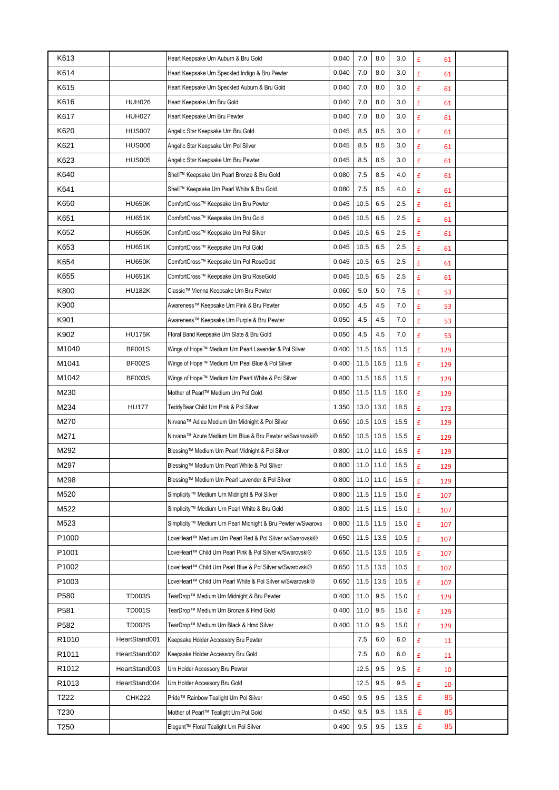| K613              |               | Heart Keepsake Urn Auburn & Bru Gold                         | 0.040 | 7.0  | 8.0  | 3.0  | £<br>61                  |  |
|-------------------|---------------|--------------------------------------------------------------|-------|------|------|------|--------------------------|--|
| K614              |               | Heart Keepsake Urn Speckled Indigo & Bru Pewter              | 0.040 | 7.0  | 8.0  | 3.0  | £<br>61                  |  |
| K615              |               | Heart Keepsake Urn Speckled Auburn & Bru Gold                | 0.040 | 7.0  | 8.0  | 3.0  | £<br>61                  |  |
| K616              | <b>HUH026</b> | Heart Keepsake Urn Bru Gold                                  | 0.040 | 7.0  | 8.0  | 3.0  | $\pmb{\mathsf{E}}$<br>61 |  |
| K617              | <b>HUH027</b> | Heart Keepsake Urn Bru Pewter                                | 0.040 | 7.0  | 8.0  | 3.0  | £<br>61                  |  |
| K620              | <b>HUS007</b> | Angelic Star Keepsake Urn Bru Gold                           | 0.045 | 8.5  | 8.5  | 3.0  | £<br>61                  |  |
| K621              | <b>HUS006</b> | Angelic Star Keepsake Urn Pol Silver                         | 0.045 | 8.5  | 8.5  | 3.0  | £<br>61                  |  |
| K623              | <b>HUS005</b> | Angelic Star Keepsake Urn Bru Pewter                         | 0.045 | 8.5  | 8.5  | 3.0  | £<br>61                  |  |
| K640              |               | Shell™ Keepsake Urn Pearl Bronze & Bru Gold                  | 0.080 | 7.5  | 8.5  | 4.0  | $\pmb{\mathsf{E}}$<br>61 |  |
| K641              |               | Shell™ Keepsake Urn Pearl White & Bru Gold                   | 0.080 | 7.5  | 8.5  | 4.0  | £<br>61                  |  |
| K650              | <b>HU650K</b> | ComfortCross™ Keepsake Urn Bru Pewter                        | 0.045 | 10.5 | 6.5  | 2.5  | £<br>61                  |  |
| K651              | <b>HU651K</b> | ComfortCross™ Keepsake Urn Bru Gold                          | 0.045 | 10.5 | 6.5  | 2.5  | £<br>61                  |  |
| K652              | <b>HU650K</b> | ComfortCross™ Keepsake Urn Pol Silver                        | 0.045 | 10.5 | 6.5  | 2.5  | £<br>61                  |  |
| K653              | <b>HU651K</b> | ComfortCross™ Keepsake Urn Pol Gold                          | 0.045 | 10.5 | 6.5  | 2.5  | £<br>61                  |  |
| K654              | <b>HU650K</b> | ComfortCross™ Keepsake Urn Pol RoseGold                      | 0.045 | 10.5 | 6.5  | 2.5  | £<br>61                  |  |
| K655              | <b>HU651K</b> | ComfortCross™ Keepsake Urn Bru RoseGold                      | 0.045 | 10.5 | 6.5  | 2.5  | £<br>61                  |  |
| K800              | <b>HU182K</b> | Classic™ Vienna Keepsake Urn Bru Pewter                      | 0.060 | 5.0  | 5.0  | 7.5  | £<br>53                  |  |
| K900              |               | Awareness™ Keepsake Urn Pink & Bru Pewter                    | 0.050 | 4.5  | 4.5  | 7.0  | $\pmb{\mathsf{f}}$<br>53 |  |
| K901              |               | Awareness™ Keepsake Urn Purple & Bru Pewter                  | 0.050 | 4.5  | 4.5  | 7.0  | £<br>53                  |  |
| K902              | <b>HU175K</b> | Floral Band Keepsake Urn Slate & Bru Gold                    | 0.050 | 4.5  | 4.5  | 7.0  | £<br>53                  |  |
| M1040             | <b>BF001S</b> | Wings of Hope™ Medium Urn Pearl Lavender & Pol Silver        | 0.400 | 11.5 | 16.5 | 11.5 | £<br>129                 |  |
| M1041             | <b>BF002S</b> | Wings of Hope™ Medium Urn Peal Blue & Pol Silver             | 0.400 | 11.5 | 16.5 | 11.5 | £<br>129                 |  |
| M1042             | <b>BF003S</b> | Wings of Hope™ Medium Urn Pearl White & Pol Silver           | 0.400 | 11.5 | 16.5 | 11.5 | £<br>129                 |  |
| M230              |               | Mother of Pearl™ Medium Urn Pol Gold                         | 0.850 | 11.5 | 11.5 | 16.0 | £<br>129                 |  |
| M234              | <b>HU177</b>  | TeddyBear Child Urn Pink & Pol Silver                        | 1.350 | 13.0 | 13.0 | 18.5 | £<br>173                 |  |
| M270              |               | Nirvana™ Adieu Medium Urn Midnight & Pol Silver              | 0.650 | 10.5 | 10.5 | 15.5 | £<br>129                 |  |
| M271              |               | Nirvana™ Azure Medium Urn Blue & Bru Pewter w/Swarovski®     | 0.650 | 10.5 | 10.5 | 15.5 | £<br>129                 |  |
| M292              |               | Blessing™ Medium Urn Pearl Midnight & Pol Silver             | 0.800 | 11.0 | 11.0 | 16.5 | £<br>129                 |  |
| M297              |               | Blessing™ Medium Urn Pearl White & Pol Silver                | 0.800 | 11.0 | 11.0 | 16.5 | £<br>129                 |  |
| M298              |               | Blessing™ Medium Urn Pearl Lavender & Pol Silver             | 0.800 | 11.0 | 11.0 | 16.5 | £<br>129                 |  |
| M520              |               | Simplicity™ Medium Urn Midnight & Pol Silver                 | 0.800 | 11.5 | 11.5 | 15.0 | £<br>107                 |  |
| M522              |               | Simplicity™ Medium Urn Pearl White & Bru Gold                | 0.800 | 11.5 | 11.5 | 15.0 | £<br>107                 |  |
| M523              |               | Simplicity™ Medium Urn Pearl Midnight & Bru Pewter w/Swarovs | 0.800 | 11.5 | 11.5 | 15.0 | £<br>107                 |  |
| P1000             |               | LoveHeart™ Medium Urn Pearl Red & Pol Silver w/Swarovski®    | 0.650 | 11.5 | 13.5 | 10.5 | £<br>107                 |  |
| P <sub>1001</sub> |               | LoveHeart™ Child Urn Pearl Pink & Pol Silver w/Swarovski®    | 0.650 | 11.5 | 13.5 | 10.5 | £<br>107                 |  |
| P1002             |               | LoveHeart™ Child Urn Pearl Blue & Pol Silver w/Swarovski®    | 0.650 | 11.5 | 13.5 | 10.5 | £<br>107                 |  |
| P1003             |               | LoveHeart™ Child Urn Pearl White & Pol Silver w/Swarovski®   | 0.650 | 11.5 | 13.5 | 10.5 | £<br>107                 |  |
| P580              | <b>TD003S</b> | TearDrop™ Medium Urn Midnight & Bru Pewter                   | 0.400 | 11.0 | 9.5  | 15.0 | £<br>129                 |  |
| P581              | <b>TD001S</b> | TearDrop™ Medium Urn Bronze & Hmd Gold                       | 0.400 | 11.0 | 9.5  | 15.0 | £<br>129                 |  |
| P <sub>582</sub>  | <b>TD002S</b> | TearDrop™ Medium Urn Black & Hmd Silver                      | 0.400 | 11.0 | 9.5  | 15.0 | £<br>129                 |  |
| R <sub>1010</sub> | HeartStand001 | Keepsake Holder Accessory Bru Pewter                         |       | 7.5  | 6.0  | 6.0  | £<br>11                  |  |
| R1011             | HeartStand002 | Keepsake Holder Accessory Bru Gold                           |       | 7.5  | 6.0  | 6.0  | £<br>11                  |  |
| R <sub>1012</sub> | HeartStand003 | Urn Holder Accessory Bru Pewter                              |       | 12.5 | 9.5  | 9.5  | £<br>10                  |  |
| R1013             | HeartStand004 | Urn Holder Accessory Bru Gold                                |       | 12.5 | 9.5  | 9.5  | £<br>10                  |  |
| T222              | <b>CHK222</b> | Pride™ Rainbow Tealight Urn Pol Silver                       | 0.450 | 9.5  | 9.5  | 13.5 | £<br>85                  |  |
| T230              |               | Mother of Pearl™ Tealight Urn Pol Gold                       | 0.450 | 9.5  | 9.5  | 13.5 | £<br>85                  |  |
| T250              |               | Elegant™ Floral Tealight Urn Pol Silver                      | 0.490 | 9.5  | 9.5  | 13.5 | £<br>85                  |  |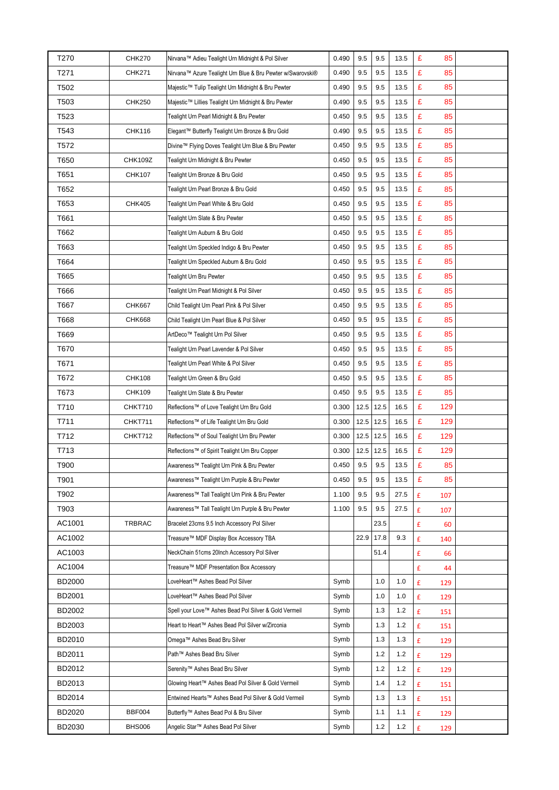| T270          | <b>CHK270</b> | Nirvana™ Adieu Tealight Urn Midnight & Pol Silver          | 0.490 | 9.5  | 9.5     | 13.5 | £<br>85                  |  |
|---------------|---------------|------------------------------------------------------------|-------|------|---------|------|--------------------------|--|
| T271          | <b>CHK271</b> | Nirvana™ Azure Tealight Urn Blue & Bru Pewter w/Swarovski® | 0.490 | 9.5  | 9.5     | 13.5 | £<br>85                  |  |
| T502          |               | Majestic™ Tulip Tealight Urn Midnight & Bru Pewter         | 0.490 | 9.5  | 9.5     | 13.5 | £<br>85                  |  |
| T503          | <b>CHK250</b> | Majestic™ Lillies Tealight Urn Midnight & Bru Pewter       | 0.490 | 9.5  | 9.5     | 13.5 | £<br>85                  |  |
| T523          |               | Tealight Urn Pearl Midnight & Bru Pewter                   | 0.450 | 9.5  | 9.5     | 13.5 | £<br>85                  |  |
| T543          | <b>CHK116</b> | Elegant™ Butterfly Tealight Urn Bronze & Bru Gold          | 0.490 | 9.5  | 9.5     | 13.5 | £<br>85                  |  |
| T572          |               | Divine™ Flying Doves Tealight Urn Blue & Bru Pewter        | 0.450 | 9.5  | 9.5     | 13.5 | £<br>85                  |  |
| T650          | CHK109Z       | Tealight Urn Midnight & Bru Pewter                         | 0.450 | 9.5  | 9.5     | 13.5 | £<br>85                  |  |
| T651          | <b>CHK107</b> | Tealight Urn Bronze & Bru Gold                             | 0.450 | 9.5  | 9.5     | 13.5 | £<br>85                  |  |
| T652          |               | Tealight Urn Pearl Bronze & Bru Gold                       | 0.450 | 9.5  | 9.5     | 13.5 | £<br>85                  |  |
| T653          | <b>CHK405</b> | Tealight Urn Pearl White & Bru Gold                        | 0.450 | 9.5  | 9.5     | 13.5 | £<br>85                  |  |
| T661          |               | Tealight Urn Slate & Bru Pewter                            | 0.450 | 9.5  | 9.5     | 13.5 | £<br>85                  |  |
| T662          |               | Tealight Urn Auburn & Bru Gold                             | 0.450 | 9.5  | 9.5     | 13.5 | £<br>85                  |  |
| T663          |               | Tealight Urn Speckled Indigo & Bru Pewter                  | 0.450 | 9.5  | 9.5     | 13.5 | £<br>85                  |  |
| T664          |               | Tealight Urn Speckled Auburn & Bru Gold                    | 0.450 | 9.5  | 9.5     | 13.5 | £<br>85                  |  |
| T665          |               | Tealight Urn Bru Pewter                                    | 0.450 | 9.5  | 9.5     | 13.5 | £<br>85                  |  |
| T666          |               | Tealight Urn Pearl Midnight & Pol Silver                   | 0.450 | 9.5  | 9.5     | 13.5 | £<br>85                  |  |
| T667          | <b>CHK667</b> | Child Tealight Urn Pearl Pink & Pol Silver                 | 0.450 | 9.5  | 9.5     | 13.5 | £<br>85                  |  |
| T668          | <b>CHK668</b> | Child Tealight Urn Pearl Blue & Pol Silver                 | 0.450 | 9.5  | $9.5\,$ | 13.5 | £<br>85                  |  |
| T669          |               | ArtDeco™ Tealight Urn Pol Silver                           | 0.450 | 9.5  | 9.5     | 13.5 | £<br>85                  |  |
| T670          |               | Tealight Urn Pearl Lavender & Pol Silver                   | 0.450 | 9.5  | 9.5     | 13.5 | £<br>85                  |  |
| T671          |               | Tealight Urn Pearl White & Pol Silver                      | 0.450 | 9.5  | 9.5     | 13.5 | £<br>85                  |  |
| T672          | <b>CHK108</b> | Tealight Urn Green & Bru Gold                              | 0.450 | 9.5  | 9.5     | 13.5 | £<br>85                  |  |
| T673          | <b>CHK109</b> | Tealight Urn Slate & Bru Pewter                            | 0.450 | 9.5  | 9.5     | 13.5 | £<br>85                  |  |
| T710          | CHKT710       | Reflections™ of Love Tealight Urn Bru Gold                 | 0.300 | 12.5 | 12.5    | 16.5 | £<br>129                 |  |
| T711          | CHKT711       | Reflections™ of Life Tealight Urn Bru Gold                 | 0.300 | 12.5 | 12.5    | 16.5 | £<br>129                 |  |
| T712          | CHKT712       | Reflections™ of Soul Tealight Urn Bru Pewter               | 0.300 | 12.5 | 12.5    | 16.5 | £<br>129                 |  |
| T713          |               | Reflections™ of Spirit Tealight Urn Bru Copper             | 0.300 | 12.5 | 12.5    | 16.5 | £<br>129                 |  |
| T900          |               | Awareness™ Tealight Urn Pink & Bru Pewter                  | 0.450 | 9.5  | 9.5     | 13.5 | £<br>85                  |  |
| T901          |               | Awareness™ Tealight Urn Purple & Bru Pewter                | 0.450 | 9.5  | 9.5     | 13.5 | £<br>85                  |  |
| T902          |               | Awareness™ Tall Tealight Urn Pink & Bru Pewter             | 1.100 | 9.5  | 9.5     | 27.5 | £<br>107                 |  |
| T903          |               | Awareness™ Tall Tealight Urn Purple & Bru Pewter           | 1.100 | 9.5  | 9.5     | 27.5 | £<br>107                 |  |
| AC1001        | TRBRAC        | Bracelet 23cms 9.5 Inch Accessory Pol Silver               |       |      | 23.5    |      | £<br>60                  |  |
| AC1002        |               | Treasure™ MDF Display Box Accessory TBA                    |       | 22.9 | 17.8    | 9.3  | £<br>140                 |  |
| AC1003        |               | NeckChain 51cms 20Inch Accessory Pol Silver                |       |      | 51.4    |      | $\pmb{\mathsf{E}}$<br>66 |  |
| AC1004        |               | Treasure™ MDF Presentation Box Accessory                   |       |      |         |      | £<br>44                  |  |
| <b>BD2000</b> |               | LoveHeart™ Ashes Bead Pol Silver                           | Symb  |      | 1.0     | 1.0  | £<br>129                 |  |
| BD2001        |               | LoveHeart™ Ashes Bead Pol Silver                           | Symb  |      | 1.0     | 1.0  | £<br>129                 |  |
| BD2002        |               | Spell your Love™ Ashes Bead Pol Silver & Gold Vermeil      | Symb  |      | 1.3     | 1.2  | £<br>151                 |  |
| BD2003        |               | Heart to Heart™ Ashes Bead Pol Silver w/Zirconia           | Symb  |      | 1.3     | 1.2  | £<br>151                 |  |
| BD2010        |               | Omega™ Ashes Bead Bru Silver                               | Symb  |      | 1.3     | 1.3  | £<br>129                 |  |
| BD2011        |               | Path™ Ashes Bead Bru Silver                                | Symb  |      | $1.2$   | 1.2  | £<br>129                 |  |
| BD2012        |               | Serenity <sup>™</sup> Ashes Bead Bru Silver                | Symb  |      | 1.2     | 1.2  | £<br>129                 |  |
| BD2013        |               | Glowing Heart™ Ashes Bead Pol Silver & Gold Vermeil        | Symb  |      | 1.4     | 1.2  | £<br>151                 |  |
| BD2014        |               | Entwined Hearts™ Ashes Bead Pol Silver & Gold Vermeil      | Symb  |      | 1.3     | 1.3  | £<br>151                 |  |
| BD2020        | <b>BBF004</b> | Butterfly™ Ashes Bead Pol & Bru Silver                     | Symb  |      | 1.1     | 1.1  | £<br>129                 |  |
| BD2030        | <b>BHS006</b> | Angelic Star™ Ashes Bead Pol Silver                        | Symb  |      | $1.2$   | 1.2  | £<br>129                 |  |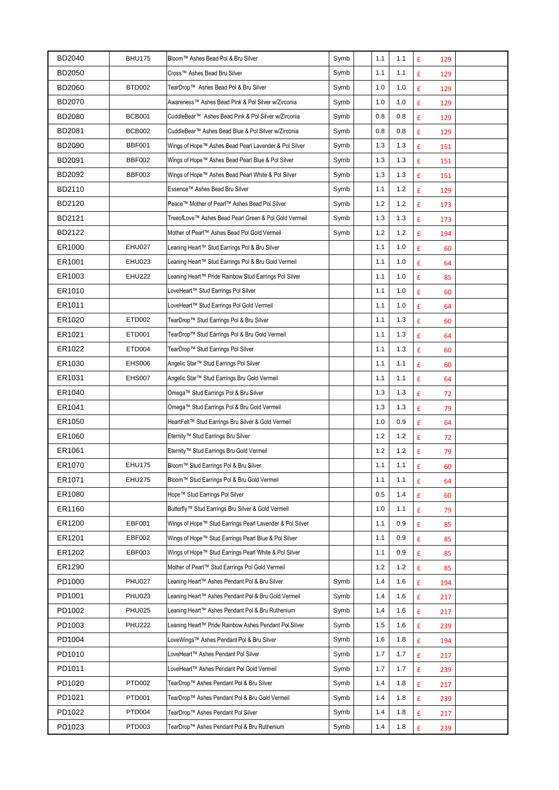| BD2040        | <b>BHU175</b> | Bloom™ Ashes Bead Pol & Bru Silver                              | Symb | 1.1   | 1.1 | £<br>129                  |  |
|---------------|---------------|-----------------------------------------------------------------|------|-------|-----|---------------------------|--|
| <b>BD2050</b> |               | Cross™ Ashes Bead Bru Silver                                    | Symb | 1.1   | 1.1 | £<br>129                  |  |
| <b>BD2060</b> | BTD002        | TearDrop™ Ashes Bead Pol & Bru Silver                           | Symb | 1.0   | 1.0 | £<br>129                  |  |
| <b>BD2070</b> |               | Awareness™ Ashes Bead Pink & Pol Silver w/Zirconia              | Symb | 1.0   | 1.0 | $\pmb{\mathsf{E}}$<br>129 |  |
| <b>BD2080</b> | <b>BCB001</b> | CuddleBear <sup>™</sup> Ashes Bead Pink & Pol Silver w/Zirconia | Symb | 0.8   | 0.8 | £<br>129                  |  |
| BD2081        | <b>BCB002</b> | CuddleBear™ Ashes Bead Blue & Pol Silver w/Zirconia             | Symb | 0.8   | 0.8 | £<br>129                  |  |
| <b>BD2090</b> | <b>BBF001</b> | Wings of Hope™ Ashes Bead Pearl Lavender & Pol Silver           | Symb | 1.3   | 1.3 | £<br>151                  |  |
| BD2091        | <b>BBF002</b> | Wings of Hope™ Ashes Bead Pearl Blue & Pol Silver               | Symb | 1.3   | 1.3 | £<br>151                  |  |
| BD2092        | BBF003        | Wings of Hope™ Ashes Bead Pearl White & Pol Silver              | Symb | 1.3   | 1.3 | £<br>151                  |  |
| BD2110        |               | Essence™ Ashes Bead Bru Silver                                  | Symb | 1.1   | 1.2 | $\pmb{\mathsf{E}}$<br>129 |  |
| BD2120        |               | Peace™ Mother of Pearl™ Ashes Bead Pol Silver                   | Symb | 1.2   | 1.2 | $\pmb{\mathsf{E}}$<br>173 |  |
| BD2121        |               | TreeofLove™ Ashes Bead Pearl Green & Pol Gold Vermeil           | Symb | 1.3   | 1.3 | £<br>173                  |  |
| BD2122        |               | Mother of Pearl™ Ashes Bead Pol Gold Vermeil                    | Symb | $1.2$ | 1.2 | £<br>194                  |  |
| ER1000        | <b>EHU027</b> | Leaning Heart™ Stud Earrings Pol & Bru Silver                   |      | 1.1   | 1.0 | £<br>60                   |  |
| ER1001        | <b>EHU023</b> | Leaning Heart™ Stud Earrings Pol & Bru Gold Vermeil             |      | 1.1   | 1.0 | £<br>64                   |  |
| ER1003        | <b>EHU222</b> | Leaning Heart™ Pride Rainbow Stud Earrings Pol Silver           |      | 1.1   | 1.0 | $\pmb{\mathsf{E}}$<br>85  |  |
| ER1010        |               | LoveHeart™ Stud Earrings Pol Silver                             |      | 1.1   | 1.0 | £<br>60                   |  |
| ER1011        |               | LoveHeart™ Stud Earrings Pol Gold Vermeil                       |      | 1.1   | 1.0 | £<br>64                   |  |
| ER1020        | ETD002        | TearDrop™ Stud Earrings Pol & Bru Silver                        |      | 1.1   | 1.3 | £<br>60                   |  |
| ER1021        | ETD001        | TearDrop™ Stud Earrings Pol & Bru Gold Vermeil                  |      | 1.1   | 1.3 | £<br>64                   |  |
| ER1022        | ETD004        | TearDrop™ Stud Earrings Pol Silver                              |      | 1.1   | 1.3 | £<br>60                   |  |
| ER1030        | <b>EHS006</b> | Angelic Star™ Stud Earrings Pol Silver                          |      | 1.1   | 1.1 | $\pmb{\mathsf{E}}$<br>60  |  |
| ER1031        | EHS007        | Angelic Star™ Stud Earrings Bru Gold Vermeil                    |      | 1.1   | 1.1 | £<br>64                   |  |
| ER1040        |               | Omega™ Stud Earrings Pol & Bru Silver                           |      | 1.3   | 1.3 | £<br>72                   |  |
| ER1041        |               | Omega™ Stud Earrings Pol & Bru Gold Vermeil                     |      | 1.3   | 1.3 | £<br>79                   |  |
| ER1050        |               | HeartFelt™ Stud Earrings Bru Silver & Gold Vermeil              |      | 1.0   | 0.9 | £<br>64                   |  |
| ER1060        |               | Eternity™ Stud Earrings Bru Silver                              |      | 1.2   | 1.2 | £<br>72                   |  |
| ER1061        |               | Eternity™ Stud Earrings Bru Gold Vermeil                        |      | 1.2   | 1.2 | $\mathbf f$<br>79         |  |
| ER1070        | <b>EHU175</b> | Bloom™ Stud Earrings Pol & Bru Silver                           |      | 1.1   | 1.1 | £<br>60                   |  |
| ER1071        | <b>EHU275</b> | Bloom™ Stud Earrings Pol & Bru Gold Vermeil                     |      | 1.1   | 1.1 | £<br>64                   |  |
| ER1080        |               | Hope™ Stud Earrings Pol Silver                                  |      | 0.5   | 1.4 | £<br>60                   |  |
| ER1160        |               | Butterfly™ Stud Earrings Bru Silver & Gold Vermeil              |      | 1.0   | 1.1 | £<br>79                   |  |
| ER1200        | EBF001        | Wings of Hope™ Stud Earrings Pearl Lavender & Pol Silver        |      | 1.1   | 0.9 | £<br>85                   |  |
| ER1201        | EBF002        | Wings of Hope™ Stud Earrings Pearl Blue & Pol Silver            |      | 1.1   | 0.9 | £<br>85                   |  |
| ER1202        | EBF003        | Wings of Hope™ Stud Earrings Pearl White & Pol Silver           |      | 1.1   | 0.9 | £<br>85                   |  |
| ER1290        |               | Mother of Pearl™ Stud Earrings Pol Gold Vermeil                 |      | 1.2   | 1.2 | £<br>85                   |  |
| PD1000        | <b>PHU027</b> | Leaning Heart™ Ashes Pendant Pol & Bru Silver                   | Symb | 1.4   | 1.6 | £<br>194                  |  |
| PD1001        | <b>PHU023</b> | Leaning Heart™ Ashes Pendant Pol & Bru Gold Vermeil             | Symb | 1.4   | 1.6 | £<br>217                  |  |
| PD1002        | <b>PHU025</b> | Leaning Heart™ Ashes Pendant Pol & Bru Ruthenium                | Symb | 1.4   | 1.6 | £<br>217                  |  |
| PD1003        | <b>PHU222</b> | Leaning Heart™ Pride Rainbow Ashes Pendant Pol Silver           | Symb | 1.5   | 1.6 | £<br>239                  |  |
| PD1004        |               | LoveWings™ Ashes Pendant Pol & Bru Silver                       | Symb | 1.6   | 1.8 | £<br>194                  |  |
| PD1010        |               | LoveHeart™ Ashes Pendant Pol Silver                             | Symb | 1.7   | 1.7 | £<br>217                  |  |
| PD1011        |               | LoveHeart™ Ashes Pendant Pol Gold Vermeil                       | Symb | 1.7   | 1.7 | £<br>239                  |  |
| PD1020        | PTD002        | TearDrop™ Ashes Pendant Pol & Bru Silver                        | Symb | 1.4   | 1.8 | £<br>217                  |  |
| PD1021        | PTD001        | TearDrop™ Ashes Pendant Pol & Bru Gold Vermeil                  | Symb | 1.4   | 1.8 | £<br>239                  |  |
| PD1022        | PTD004        | TearDrop™ Ashes Pendant Pol Silver                              | Symb | 1.4   | 1.8 | £<br>217                  |  |
| PD1023        | PTD003        | TearDrop™ Ashes Pendant Pol & Bru Ruthenium                     | Symb | 1.4   | 1.8 | £<br>239                  |  |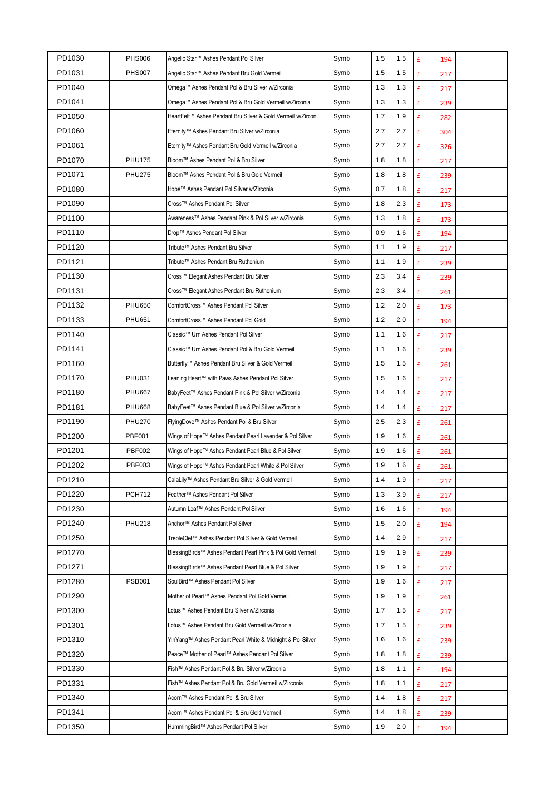| PD1030 | <b>PHS006</b> | Angelic Star™ Ashes Pendant Pol Silver                       | Symb | 1.5   | 1.5 | £<br>194                  |  |
|--------|---------------|--------------------------------------------------------------|------|-------|-----|---------------------------|--|
| PD1031 | <b>PHS007</b> | Angelic Star™ Ashes Pendant Bru Gold Vermeil                 | Symb | 1.5   | 1.5 | £<br>217                  |  |
| PD1040 |               | Omega™ Ashes Pendant Pol & Bru Silver w/Zirconia             | Symb | 1.3   | 1.3 | £<br>217                  |  |
| PD1041 |               | Omega™ Ashes Pendant Pol & Bru Gold Vermeil w/Zirconia       | Symb | 1.3   | 1.3 | $\pmb{\mathsf{E}}$<br>239 |  |
| PD1050 |               | HeartFelt™ Ashes Pendant Bru Silver & Gold Vermeil w/Zirconi | Symb | 1.7   | 1.9 | £<br>282                  |  |
| PD1060 |               | Eternity™ Ashes Pendant Bru Silver w/Zirconia                | Symb | 2.7   | 2.7 | £<br>304                  |  |
| PD1061 |               | Eternity™ Ashes Pendant Bru Gold Vermeil w/Zirconia          | Symb | 2.7   | 2.7 | £<br>326                  |  |
| PD1070 | <b>PHU175</b> | Bloom™ Ashes Pendant Pol & Bru Silver                        | Symb | 1.8   | 1.8 | £<br>217                  |  |
| PD1071 | <b>PHU275</b> | Bloom™ Ashes Pendant Pol & Bru Gold Vermeil                  | Symb | 1.8   | 1.8 | £<br>239                  |  |
| PD1080 |               | Hope™ Ashes Pendant Pol Silver w/Zirconia                    | Symb | 0.7   | 1.8 | £<br>217                  |  |
| PD1090 |               | Cross™ Ashes Pendant Pol Silver                              | Symb | 1.8   | 2.3 | $\pmb{\mathsf{E}}$<br>173 |  |
| PD1100 |               | Awareness™ Ashes Pendant Pink & Pol Silver w/Zirconia        | Symb | 1.3   | 1.8 | £<br>173                  |  |
| PD1110 |               | Drop™ Ashes Pendant Pol Silver                               | Symb | 0.9   | 1.6 | £<br>194                  |  |
| PD1120 |               | Tribute™ Ashes Pendant Bru Silver                            | Symb | 1.1   | 1.9 | £<br>217                  |  |
| PD1121 |               | Tribute™ Ashes Pendant Bru Ruthenium                         | Symb | 1.1   | 1.9 | £<br>239                  |  |
| PD1130 |               | Cross™ Elegant Ashes Pendant Bru Silver                      | Symb | 2.3   | 3.4 | $\pmb{\mathsf{E}}$<br>239 |  |
| PD1131 |               | Cross™ Elegant Ashes Pendant Bru Ruthenium                   | Symb | 2.3   | 3.4 | $\pmb{\mathsf{E}}$<br>261 |  |
| PD1132 | <b>PHU650</b> | ComfortCross™ Ashes Pendant Pol Silver                       | Symb | $1.2$ | 2.0 | £<br>173                  |  |
| PD1133 | <b>PHU651</b> | ComfortCross™ Ashes Pendant Pol Gold                         | Symb | $1.2$ | 2.0 | £<br>194                  |  |
| PD1140 |               | Classic™ Urn Ashes Pendant Pol Silver                        | Symb | 1.1   | 1.6 | £<br>217                  |  |
| PD1141 |               | Classic™ Urn Ashes Pendant Pol & Bru Gold Vermeil            | Symb | 1.1   | 1.6 | £<br>239                  |  |
| PD1160 |               | Butterfly™ Ashes Pendant Bru Silver & Gold Vermeil           | Symb | 1.5   | 1.5 | £<br>261                  |  |
| PD1170 | <b>PHU031</b> | Leaning Heart™ with Paws Ashes Pendant Pol Silver            | Symb | 1.5   | 1.6 | $\pmb{\mathsf{E}}$<br>217 |  |
| PD1180 | <b>PHU667</b> | BabyFeet™ Ashes Pendant Pink & Pol Silver w/Zirconia         | Symb | 1.4   | 1.4 | £<br>217                  |  |
| PD1181 | <b>PHU668</b> | BabyFeet™ Ashes Pendant Blue & Pol Silver w/Zirconia         | Symb | 1.4   | 1.4 | $\pmb{\mathtt{f}}$<br>217 |  |
| PD1190 | <b>PHU270</b> | FlyingDove™ Ashes Pendant Pol & Bru Silver                   | Symb | 2.5   | 2.3 | £<br>261                  |  |
| PD1200 | <b>PBF001</b> | Wings of Hope™ Ashes Pendant Pearl Lavender & Pol Silver     | Symb | 1.9   | 1.6 | £<br>261                  |  |
| PD1201 | <b>PBF002</b> | Wings of Hope™ Ashes Pendant Pearl Blue & Pol Silver         | Symb | 1.9   | 1.6 | $\pmb{\mathsf{E}}$<br>261 |  |
| PD1202 | <b>PBF003</b> | Wings of Hope™ Ashes Pendant Pearl White & Pol Silver        | Symb | 1.9   | 1.6 | £<br>261                  |  |
| PD1210 |               | CalaLily™ Ashes Pendant Bru Silver & Gold Vermeil            | Symb | 1.4   | 1.9 | £<br>217                  |  |
| PD1220 | <b>PCH712</b> | Feather™ Ashes Pendant Pol Silver                            | Symb | 1.3   | 3.9 | £<br>217                  |  |
| PD1230 |               | Autumn Leaf™ Ashes Pendant Pol Silver                        | Symb | 1.6   | 1.6 | £<br>194                  |  |
| PD1240 | <b>PHU218</b> | Anchor™ Ashes Pendant Pol Silver                             | Symb | 1.5   | 2.0 | £<br>194                  |  |
| PD1250 |               | TrebleClef™ Ashes Pendant Pol Silver & Gold Vermeil          | Symb | 1.4   | 2.9 | £<br>217                  |  |
| PD1270 |               | BlessingBirds™ Ashes Pendant Pearl Pink & Pol Gold Vermeil   | Symb | 1.9   | 1.9 | £<br>239                  |  |
| PD1271 |               | BlessingBirds™ Ashes Pendant Pearl Blue & Pol Silver         | Symb | 1.9   | 1.9 | £<br>217                  |  |
| PD1280 | <b>PSB001</b> | SoulBird™ Ashes Pendant Pol Silver                           | Symb | 1.9   | 1.6 | £<br>217                  |  |
| PD1290 |               | Mother of Pearl™ Ashes Pendant Pol Gold Vermeil              | Symb | 1.9   | 1.9 | £<br>261                  |  |
| PD1300 |               | Lotus™ Ashes Pendant Bru Silver w/Zirconia                   | Symb | 1.7   | 1.5 | £<br>217                  |  |
| PD1301 |               | Lotus™ Ashes Pendant Bru Gold Vermeil w/Zirconia             | Symb | 1.7   | 1.5 | £<br>239                  |  |
| PD1310 |               | YinYang™ Ashes Pendant Pearl White & Midnight & Pol Silver   | Symb | 1.6   | 1.6 | £<br>239                  |  |
| PD1320 |               | Peace™ Mother of Pearl™ Ashes Pendant Pol Silver             | Symb | 1.8   | 1.8 | £<br>239                  |  |
| PD1330 |               | Fish™ Ashes Pendant Pol & Bru Silver w/Zirconia              | Symb | 1.8   | 1.1 | £<br>194                  |  |
| PD1331 |               | Fish™ Ashes Pendant Pol & Bru Gold Vermeil w/Zirconia        | Symb | 1.8   | 1.1 | £<br>217                  |  |
| PD1340 |               | Acorn™ Ashes Pendant Pol & Bru Silver                        | Symb | 1.4   | 1.8 | £<br>217                  |  |
| PD1341 |               | Acorn™ Ashes Pendant Pol & Bru Gold Vermeil                  | Symb | 1.4   | 1.8 | £<br>239                  |  |
| PD1350 |               | HummingBird™ Ashes Pendant Pol Silver                        | Symb | 1.9   | 2.0 | £<br>194                  |  |